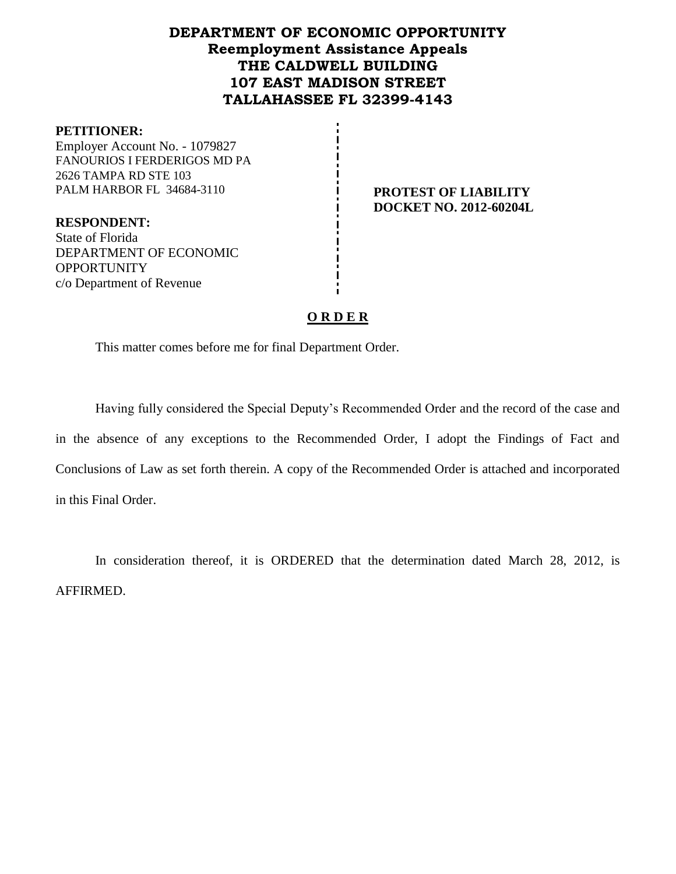# **DEPARTMENT OF ECONOMIC OPPORTUNITY Reemployment Assistance Appeals THE CALDWELL BUILDING 107 EAST MADISON STREET TALLAHASSEE FL 32399-4143**

#### **PETITIONER:**

Employer Account No. - 1079827 FANOURIOS I FERDERIGOS MD PA 2626 TAMPA RD STE 103 PALM HARBOR FL 34684-3110 **PROTEST OF LIABILITY** 

**DOCKET NO. 2012-60204L**

**RESPONDENT:** State of Florida DEPARTMENT OF ECONOMIC **OPPORTUNITY** c/o Department of Revenue

## **O R D E R**

This matter comes before me for final Department Order.

Having fully considered the Special Deputy's Recommended Order and the record of the case and in the absence of any exceptions to the Recommended Order, I adopt the Findings of Fact and Conclusions of Law as set forth therein. A copy of the Recommended Order is attached and incorporated in this Final Order.

In consideration thereof, it is ORDERED that the determination dated March 28, 2012, is AFFIRMED.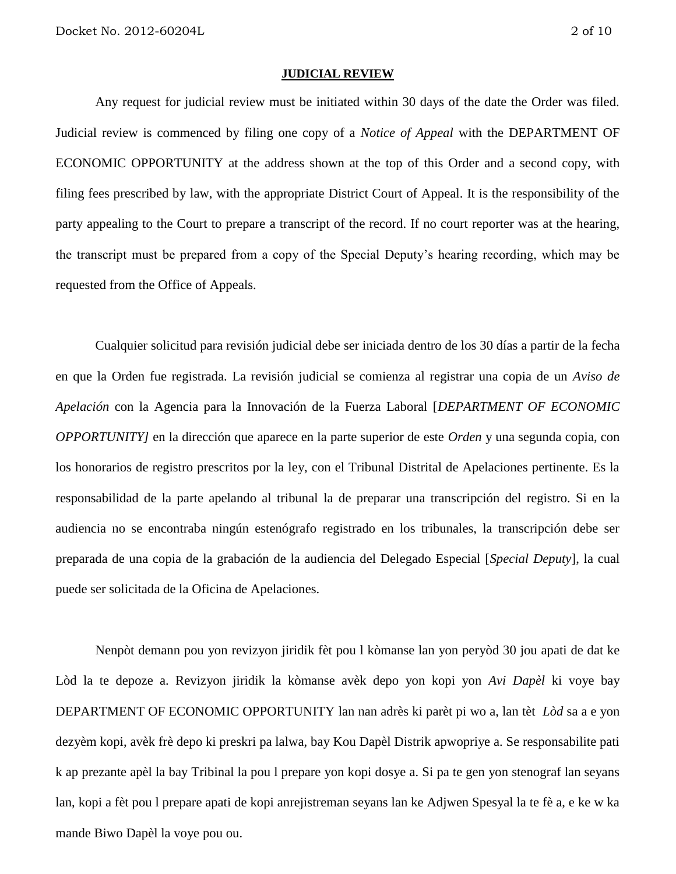#### **JUDICIAL REVIEW**

Any request for judicial review must be initiated within 30 days of the date the Order was filed. Judicial review is commenced by filing one copy of a *Notice of Appeal* with the DEPARTMENT OF ECONOMIC OPPORTUNITY at the address shown at the top of this Order and a second copy, with filing fees prescribed by law, with the appropriate District Court of Appeal. It is the responsibility of the party appealing to the Court to prepare a transcript of the record. If no court reporter was at the hearing, the transcript must be prepared from a copy of the Special Deputy's hearing recording, which may be requested from the Office of Appeals.

Cualquier solicitud para revisión judicial debe ser iniciada dentro de los 30 días a partir de la fecha en que la Orden fue registrada. La revisión judicial se comienza al registrar una copia de un *Aviso de Apelación* con la Agencia para la Innovación de la Fuerza Laboral [*DEPARTMENT OF ECONOMIC OPPORTUNITY]* en la dirección que aparece en la parte superior de este *Orden* y una segunda copia, con los honorarios de registro prescritos por la ley, con el Tribunal Distrital de Apelaciones pertinente. Es la responsabilidad de la parte apelando al tribunal la de preparar una transcripción del registro. Si en la audiencia no se encontraba ningún estenógrafo registrado en los tribunales, la transcripción debe ser preparada de una copia de la grabación de la audiencia del Delegado Especial [*Special Deputy*], la cual puede ser solicitada de la Oficina de Apelaciones.

Nenpòt demann pou yon revizyon jiridik fèt pou l kòmanse lan yon peryòd 30 jou apati de dat ke Lòd la te depoze a. Revizyon jiridik la kòmanse avèk depo yon kopi yon *Avi Dapèl* ki voye bay DEPARTMENT OF ECONOMIC OPPORTUNITY lan nan adrès ki parèt pi wo a, lan tèt *Lòd* sa a e yon dezyèm kopi, avèk frè depo ki preskri pa lalwa, bay Kou Dapèl Distrik apwopriye a. Se responsabilite pati k ap prezante apèl la bay Tribinal la pou l prepare yon kopi dosye a. Si pa te gen yon stenograf lan seyans lan, kopi a fèt pou l prepare apati de kopi anrejistreman seyans lan ke Adjwen Spesyal la te fè a, e ke w ka mande Biwo Dapèl la voye pou ou.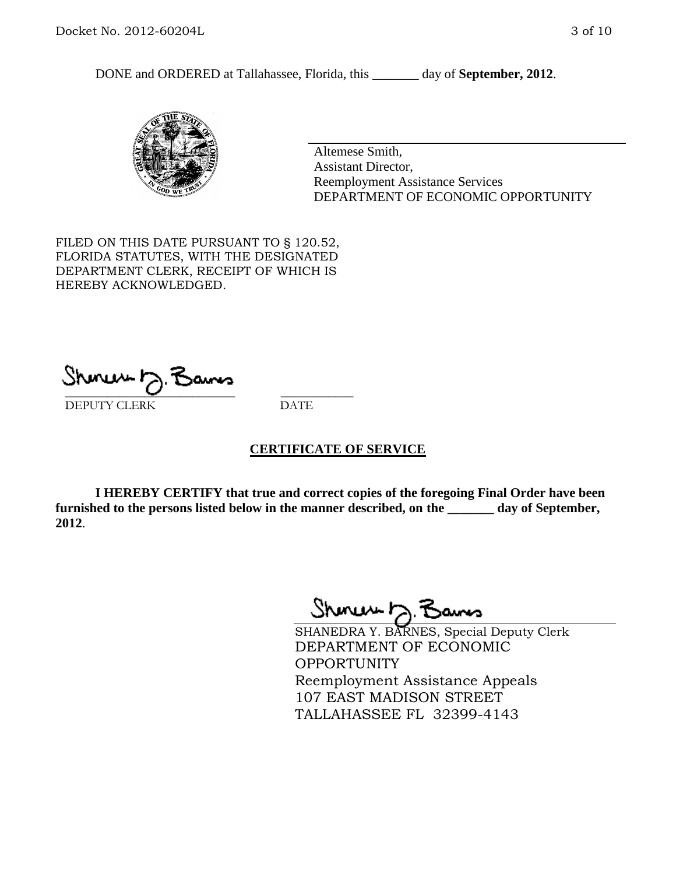DONE and ORDERED at Tallahassee, Florida, this \_\_\_\_\_\_\_ day of **September, 2012**.



Altemese Smith, Assistant Director, Reemployment Assistance Services DEPARTMENT OF ECONOMIC OPPORTUNITY

FILED ON THIS DATE PURSUANT TO § 120.52, FLORIDA STATUTES, WITH THE DESIGNATED DEPARTMENT CLERK, RECEIPT OF WHICH IS HEREBY ACKNOWLEDGED.

\_\_\_\_\_\_\_\_\_\_\_\_\_\_\_\_\_\_\_\_\_\_\_\_\_\_\_\_ \_\_\_\_\_\_\_\_\_\_\_\_ DEPUTY CLERK DATE

#### **CERTIFICATE OF SERVICE**

**I HEREBY CERTIFY that true and correct copies of the foregoing Final Order have been furnished to the persons listed below in the manner described, on the \_\_\_\_\_\_\_ day of September, 2012**.

Shonew b

SHANEDRA Y. BARNES, Special Deputy Clerk DEPARTMENT OF ECONOMIC **OPPORTUNITY** Reemployment Assistance Appeals 107 EAST MADISON STREET TALLAHASSEE FL 32399-4143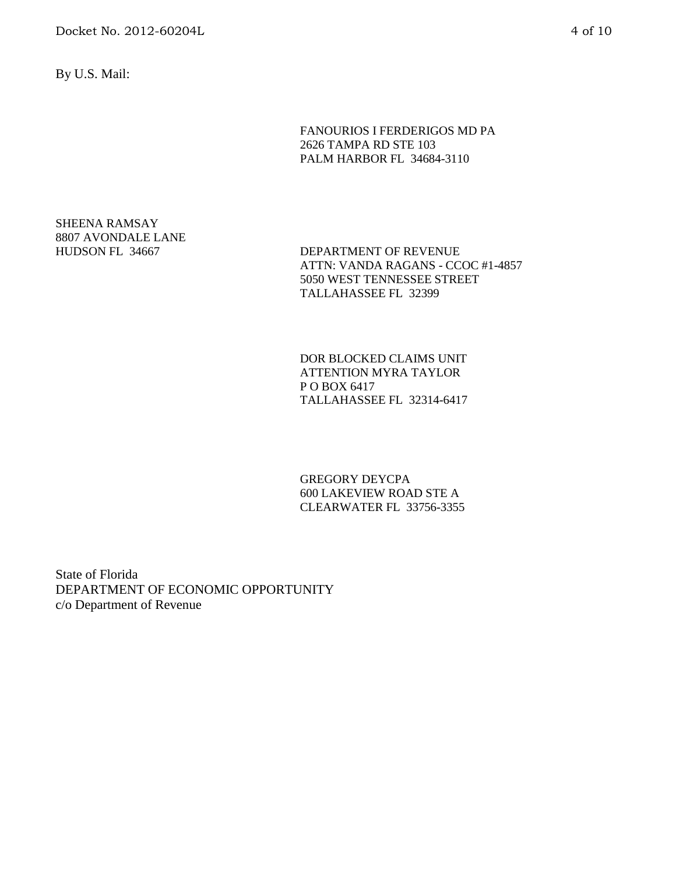By U.S. Mail:

FANOURIOS I FERDERIGOS MD PA 2626 TAMPA RD STE 103 PALM HARBOR FL 34684-3110

# SHEENA RAMSAY 8807 AVONDALE LANE

HUDSON FL 34667 DEPARTMENT OF REVENUE ATTN: VANDA RAGANS - CCOC #1-4857 5050 WEST TENNESSEE STREET TALLAHASSEE FL 32399

> DOR BLOCKED CLAIMS UNIT ATTENTION MYRA TAYLOR P O BOX 6417 TALLAHASSEE FL 32314-6417

GREGORY DEYCPA 600 LAKEVIEW ROAD STE A CLEARWATER FL 33756-3355

State of Florida DEPARTMENT OF ECONOMIC OPPORTUNITY c/o Department of Revenue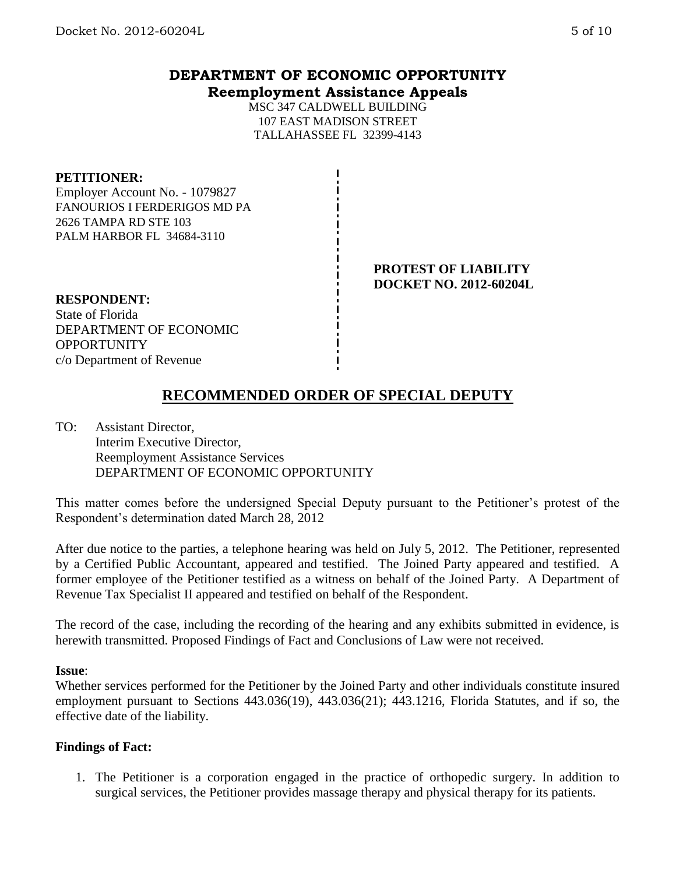# **DEPARTMENT OF ECONOMIC OPPORTUNITY Reemployment Assistance Appeals**

MSC 347 CALDWELL BUILDING 107 EAST MADISON STREET TALLAHASSEE FL 32399-4143

### **PETITIONER:**

Employer Account No. - 1079827 FANOURIOS I FERDERIGOS MD PA 2626 TAMPA RD STE 103 PALM HARBOR FL 34684-3110

### **PROTEST OF LIABILITY DOCKET NO. 2012-60204L**

**RESPONDENT:** State of Florida DEPARTMENT OF ECONOMIC **OPPORTUNITY** c/o Department of Revenue

# **RECOMMENDED ORDER OF SPECIAL DEPUTY**

TO: Assistant Director, Interim Executive Director, Reemployment Assistance Services DEPARTMENT OF ECONOMIC OPPORTUNITY

This matter comes before the undersigned Special Deputy pursuant to the Petitioner's protest of the Respondent's determination dated March 28, 2012

After due notice to the parties, a telephone hearing was held on July 5, 2012. The Petitioner, represented by a Certified Public Accountant, appeared and testified. The Joined Party appeared and testified. A former employee of the Petitioner testified as a witness on behalf of the Joined Party. A Department of Revenue Tax Specialist II appeared and testified on behalf of the Respondent.

The record of the case, including the recording of the hearing and any exhibits submitted in evidence, is herewith transmitted. Proposed Findings of Fact and Conclusions of Law were not received.

#### **Issue**:

Whether services performed for the Petitioner by the Joined Party and other individuals constitute insured employment pursuant to Sections 443.036(19), 443.036(21); 443.1216, Florida Statutes, and if so, the effective date of the liability.

#### **Findings of Fact:**

1. The Petitioner is a corporation engaged in the practice of orthopedic surgery. In addition to surgical services, the Petitioner provides massage therapy and physical therapy for its patients.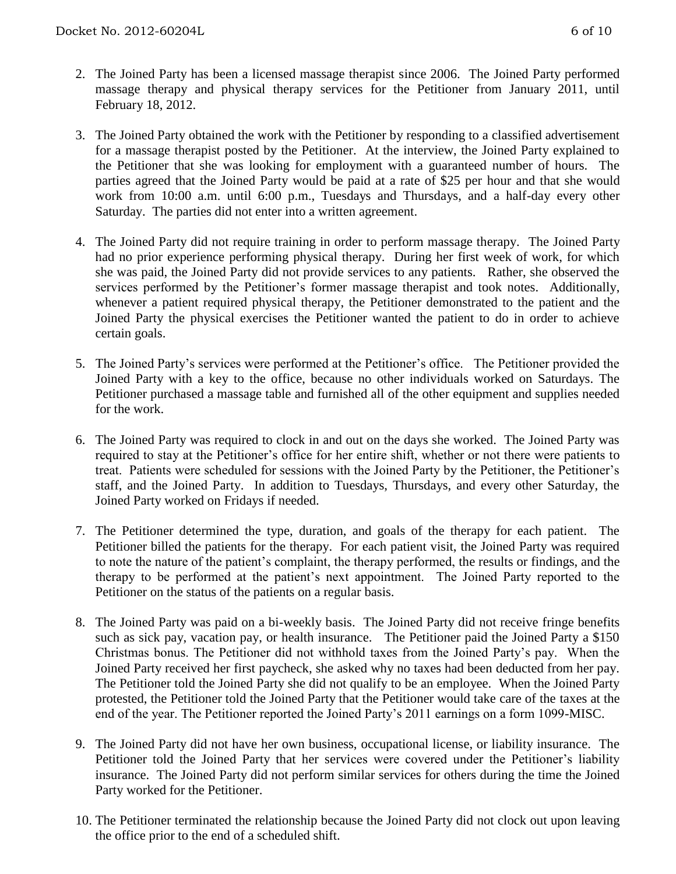- 2. The Joined Party has been a licensed massage therapist since 2006. The Joined Party performed massage therapy and physical therapy services for the Petitioner from January 2011, until February 18, 2012.
- 3. The Joined Party obtained the work with the Petitioner by responding to a classified advertisement for a massage therapist posted by the Petitioner. At the interview, the Joined Party explained to the Petitioner that she was looking for employment with a guaranteed number of hours. The parties agreed that the Joined Party would be paid at a rate of \$25 per hour and that she would work from 10:00 a.m. until 6:00 p.m., Tuesdays and Thursdays, and a half-day every other Saturday. The parties did not enter into a written agreement.
- 4. The Joined Party did not require training in order to perform massage therapy. The Joined Party had no prior experience performing physical therapy. During her first week of work, for which she was paid, the Joined Party did not provide services to any patients. Rather, she observed the services performed by the Petitioner's former massage therapist and took notes. Additionally, whenever a patient required physical therapy, the Petitioner demonstrated to the patient and the Joined Party the physical exercises the Petitioner wanted the patient to do in order to achieve certain goals.
- 5. The Joined Party's services were performed at the Petitioner's office. The Petitioner provided the Joined Party with a key to the office, because no other individuals worked on Saturdays. The Petitioner purchased a massage table and furnished all of the other equipment and supplies needed for the work.
- 6. The Joined Party was required to clock in and out on the days she worked. The Joined Party was required to stay at the Petitioner's office for her entire shift, whether or not there were patients to treat. Patients were scheduled for sessions with the Joined Party by the Petitioner, the Petitioner's staff, and the Joined Party. In addition to Tuesdays, Thursdays, and every other Saturday, the Joined Party worked on Fridays if needed.
- 7. The Petitioner determined the type, duration, and goals of the therapy for each patient. The Petitioner billed the patients for the therapy. For each patient visit, the Joined Party was required to note the nature of the patient's complaint, the therapy performed, the results or findings, and the therapy to be performed at the patient's next appointment. The Joined Party reported to the Petitioner on the status of the patients on a regular basis.
- 8. The Joined Party was paid on a bi-weekly basis. The Joined Party did not receive fringe benefits such as sick pay, vacation pay, or health insurance. The Petitioner paid the Joined Party a \$150 Christmas bonus. The Petitioner did not withhold taxes from the Joined Party's pay. When the Joined Party received her first paycheck, she asked why no taxes had been deducted from her pay. The Petitioner told the Joined Party she did not qualify to be an employee. When the Joined Party protested, the Petitioner told the Joined Party that the Petitioner would take care of the taxes at the end of the year. The Petitioner reported the Joined Party's 2011 earnings on a form 1099-MISC.
- 9. The Joined Party did not have her own business, occupational license, or liability insurance. The Petitioner told the Joined Party that her services were covered under the Petitioner's liability insurance. The Joined Party did not perform similar services for others during the time the Joined Party worked for the Petitioner.
- 10. The Petitioner terminated the relationship because the Joined Party did not clock out upon leaving the office prior to the end of a scheduled shift.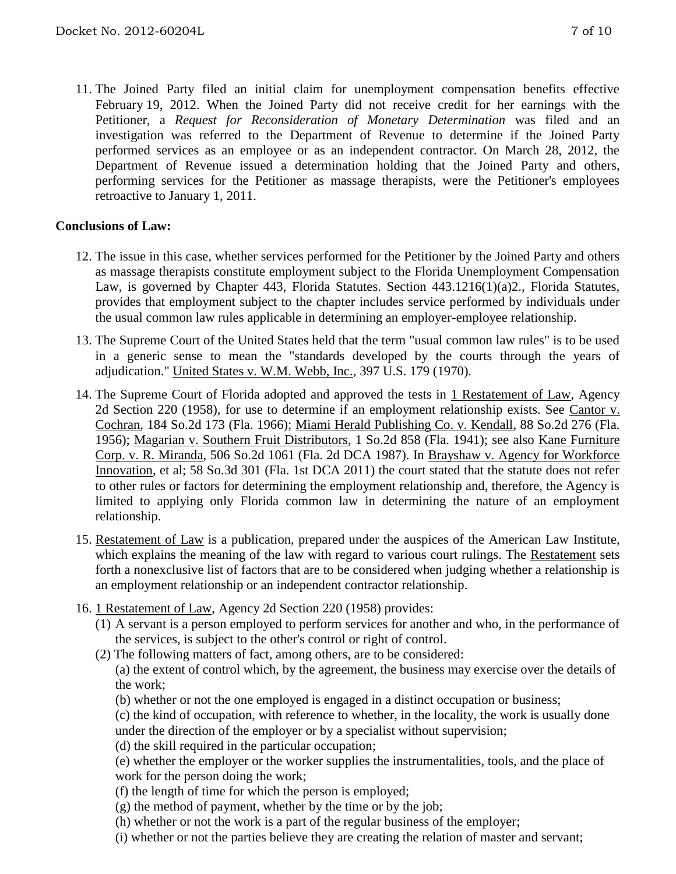11. The Joined Party filed an initial claim for unemployment compensation benefits effective February 19, 2012. When the Joined Party did not receive credit for her earnings with the Petitioner, a *Request for Reconsideration of Monetary Determination* was filed and an investigation was referred to the Department of Revenue to determine if the Joined Party performed services as an employee or as an independent contractor. On March 28, 2012, the Department of Revenue issued a determination holding that the Joined Party and others, performing services for the Petitioner as massage therapists, were the Petitioner's employees retroactive to January 1, 2011.

## **Conclusions of Law:**

- 12. The issue in this case, whether services performed for the Petitioner by the Joined Party and others as massage therapists constitute employment subject to the Florida Unemployment Compensation Law, is governed by Chapter 443, Florida Statutes. Section 443.1216(1)(a)2., Florida Statutes, provides that employment subject to the chapter includes service performed by individuals under the usual common law rules applicable in determining an employer-employee relationship.
- 13. The Supreme Court of the United States held that the term "usual common law rules" is to be used in a generic sense to mean the "standards developed by the courts through the years of adjudication." United States v. W.M. Webb, Inc., 397 U.S. 179 (1970).
- 14. The Supreme Court of Florida adopted and approved the tests in 1 Restatement of Law, Agency 2d Section 220 (1958), for use to determine if an employment relationship exists. See Cantor v. Cochran, 184 So.2d 173 (Fla. 1966); Miami Herald Publishing Co. v. Kendall, 88 So.2d 276 (Fla. 1956); Magarian v. Southern Fruit Distributors, 1 So.2d 858 (Fla. 1941); see also Kane Furniture Corp. v. R. Miranda, 506 So.2d 1061 (Fla. 2d DCA 1987). In Brayshaw v. Agency for Workforce Innovation, et al; 58 So.3d 301 (Fla. 1st DCA 2011) the court stated that the statute does not refer to other rules or factors for determining the employment relationship and, therefore, the Agency is limited to applying only Florida common law in determining the nature of an employment relationship.
- 15. Restatement of Law is a publication, prepared under the auspices of the American Law Institute, which explains the meaning of the law with regard to various court rulings. The Restatement sets forth a nonexclusive list of factors that are to be considered when judging whether a relationship is an employment relationship or an independent contractor relationship.
- 16. 1 Restatement of Law, Agency 2d Section 220 (1958) provides:
	- (1) A servant is a person employed to perform services for another and who, in the performance of the services, is subject to the other's control or right of control.
	- (2) The following matters of fact, among others, are to be considered:
		- (a) the extent of control which, by the agreement, the business may exercise over the details of the work;
		- (b) whether or not the one employed is engaged in a distinct occupation or business;
		- (c) the kind of occupation, with reference to whether, in the locality, the work is usually done under the direction of the employer or by a specialist without supervision;
		- (d) the skill required in the particular occupation;
		- (e) whether the employer or the worker supplies the instrumentalities, tools, and the place of work for the person doing the work;
		- (f) the length of time for which the person is employed;
		- $(g)$  the method of payment, whether by the time or by the job;
		- (h) whether or not the work is a part of the regular business of the employer;
		- (i) whether or not the parties believe they are creating the relation of master and servant;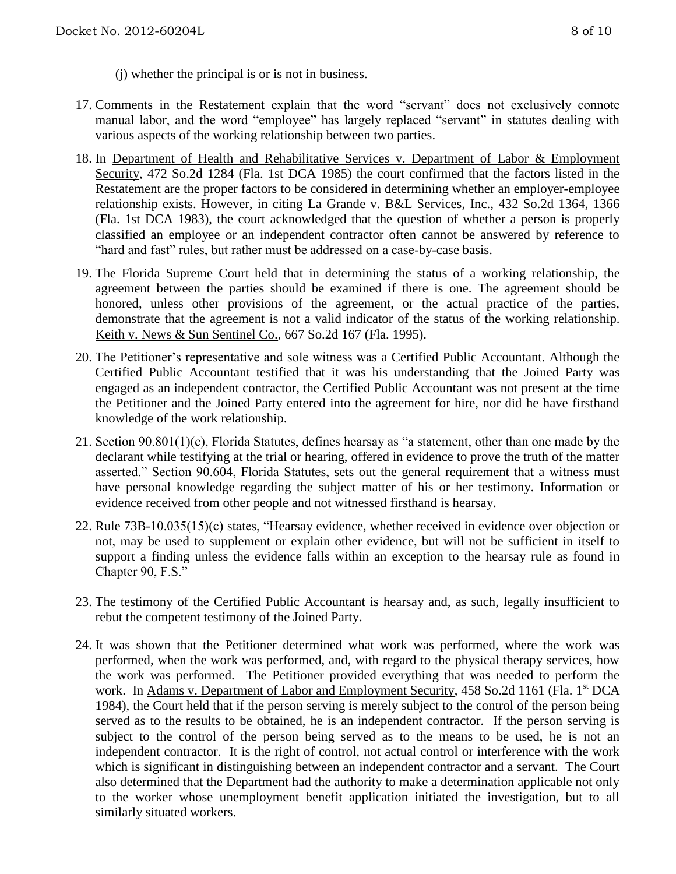(j) whether the principal is or is not in business.

- 17. Comments in the Restatement explain that the word "servant" does not exclusively connote manual labor, and the word "employee" has largely replaced "servant" in statutes dealing with various aspects of the working relationship between two parties.
- 18. In Department of Health and Rehabilitative Services v. Department of Labor & Employment Security, 472 So.2d 1284 (Fla. 1st DCA 1985) the court confirmed that the factors listed in the Restatement are the proper factors to be considered in determining whether an employer-employee relationship exists. However, in citing La Grande v. B&L Services, Inc., 432 So.2d 1364, 1366 (Fla. 1st DCA 1983), the court acknowledged that the question of whether a person is properly classified an employee or an independent contractor often cannot be answered by reference to "hard and fast" rules, but rather must be addressed on a case-by-case basis.
- 19. The Florida Supreme Court held that in determining the status of a working relationship, the agreement between the parties should be examined if there is one. The agreement should be honored, unless other provisions of the agreement, or the actual practice of the parties, demonstrate that the agreement is not a valid indicator of the status of the working relationship. Keith v. News & Sun Sentinel Co., 667 So.2d 167 (Fla. 1995).
- 20. The Petitioner's representative and sole witness was a Certified Public Accountant. Although the Certified Public Accountant testified that it was his understanding that the Joined Party was engaged as an independent contractor, the Certified Public Accountant was not present at the time the Petitioner and the Joined Party entered into the agreement for hire, nor did he have firsthand knowledge of the work relationship.
- 21. Section 90.801(1)(c), Florida Statutes, defines hearsay as "a statement, other than one made by the declarant while testifying at the trial or hearing, offered in evidence to prove the truth of the matter asserted." Section 90.604, Florida Statutes, sets out the general requirement that a witness must have personal knowledge regarding the subject matter of his or her testimony. Information or evidence received from other people and not witnessed firsthand is hearsay.
- 22. Rule 73B-10.035(15)(c) states, "Hearsay evidence, whether received in evidence over objection or not, may be used to supplement or explain other evidence, but will not be sufficient in itself to support a finding unless the evidence falls within an exception to the hearsay rule as found in Chapter 90, F.S."
- 23. The testimony of the Certified Public Accountant is hearsay and, as such, legally insufficient to rebut the competent testimony of the Joined Party.
- 24. It was shown that the Petitioner determined what work was performed, where the work was performed, when the work was performed, and, with regard to the physical therapy services, how the work was performed. The Petitioner provided everything that was needed to perform the work. In Adams v. Department of Labor and Employment Security, 458 So.2d 1161 (Fla. 1st DCA 1984), the Court held that if the person serving is merely subject to the control of the person being served as to the results to be obtained, he is an independent contractor. If the person serving is subject to the control of the person being served as to the means to be used, he is not an independent contractor. It is the right of control, not actual control or interference with the work which is significant in distinguishing between an independent contractor and a servant. The Court also determined that the Department had the authority to make a determination applicable not only to the worker whose unemployment benefit application initiated the investigation, but to all similarly situated workers.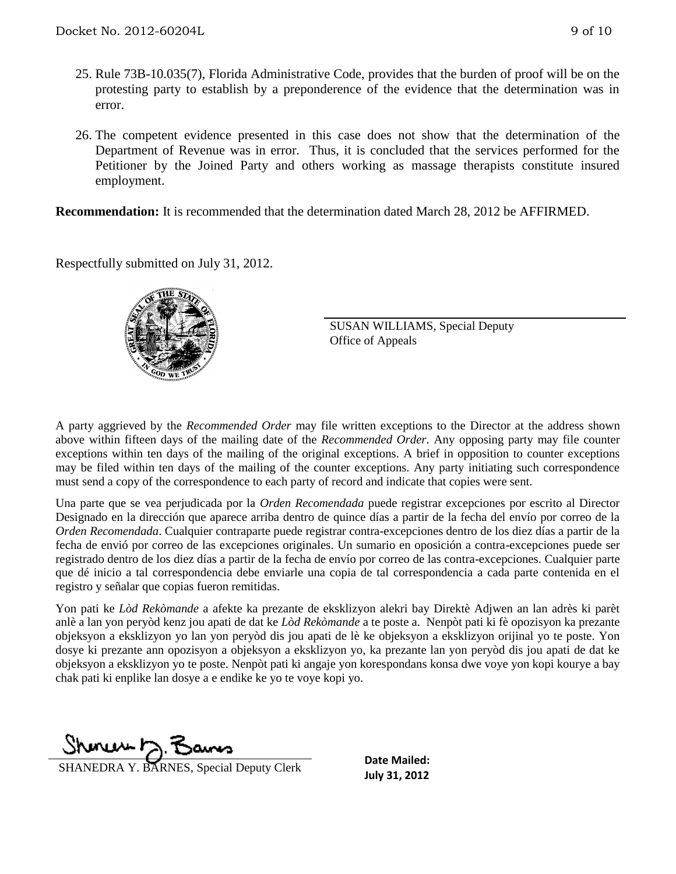- 25. Rule 73B-10.035(7), Florida Administrative Code, provides that the burden of proof will be on the protesting party to establish by a preponderence of the evidence that the determination was in error.
- 26. The competent evidence presented in this case does not show that the determination of the Department of Revenue was in error. Thus, it is concluded that the services performed for the Petitioner by the Joined Party and others working as massage therapists constitute insured employment.

**Recommendation:** It is recommended that the determination dated March 28, 2012 be AFFIRMED.

Respectfully submitted on July 31, 2012.



SUSAN WILLIAMS, Special Deputy Office of Appeals

A party aggrieved by the *Recommended Order* may file written exceptions to the Director at the address shown above within fifteen days of the mailing date of the *Recommended Order*. Any opposing party may file counter exceptions within ten days of the mailing of the original exceptions. A brief in opposition to counter exceptions may be filed within ten days of the mailing of the counter exceptions. Any party initiating such correspondence must send a copy of the correspondence to each party of record and indicate that copies were sent.

Una parte que se vea perjudicada por la *Orden Recomendada* puede registrar excepciones por escrito al Director Designado en la dirección que aparece arriba dentro de quince días a partir de la fecha del envío por correo de la *Orden Recomendada*. Cualquier contraparte puede registrar contra-excepciones dentro de los diez días a partir de la fecha de envió por correo de las excepciones originales. Un sumario en oposición a contra-excepciones puede ser registrado dentro de los diez días a partir de la fecha de envío por correo de las contra-excepciones. Cualquier parte que dé inicio a tal correspondencia debe enviarle una copia de tal correspondencia a cada parte contenida en el registro y señalar que copias fueron remitidas.

Yon pati ke *Lòd Rekòmande* a afekte ka prezante de eksklizyon alekri bay Direktè Adjwen an lan adrès ki parèt anlè a lan yon peryòd kenz jou apati de dat ke *Lòd Rekòmande* a te poste a. Nenpòt pati ki fè opozisyon ka prezante objeksyon a eksklizyon yo lan yon peryòd dis jou apati de lè ke objeksyon a eksklizyon orijinal yo te poste. Yon dosye ki prezante ann opozisyon a objeksyon a eksklizyon yo, ka prezante lan yon peryòd dis jou apati de dat ke objeksyon a eksklizyon yo te poste. Nenpòt pati ki angaje yon korespondans konsa dwe voye yon kopi kourye a bay chak pati ki enplike lan dosye a e endike ke yo te voye kopi yo.

<u>muurt</u>

**July 31, 2012** SHANEDRA Y. BARNES, Special Deputy Clerk

**Date Mailed:**